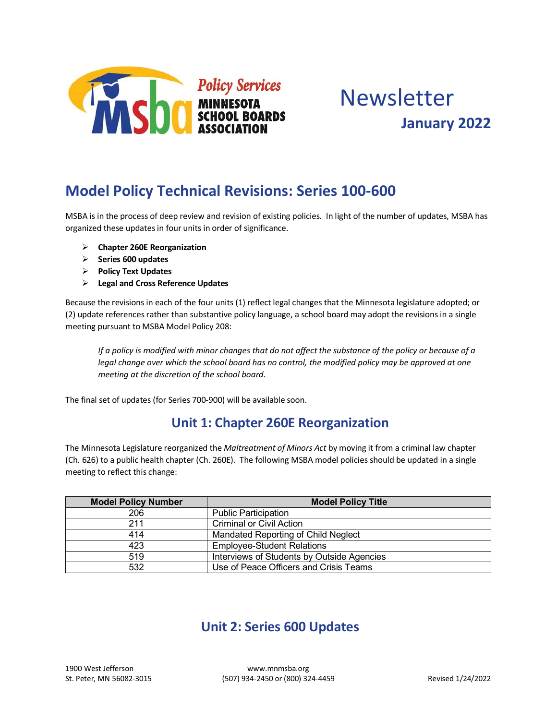

# Newsletter **January 2022**

## **Model Policy Technical Revisions: Series 100-600**

MSBA is in the process of deep review and revision of existing policies. In light of the number of updates, MSBA has organized these updates in four units in order of significance.

- Ø **Chapter 260E Reorganization**
- Ø **Series 600 updates**
- Ø **Policy Text Updates**
- Ø **Legal and Cross Reference Updates**

Because the revisions in each of the four units (1) reflect legal changes that the Minnesota legislature adopted; or (2) update references rather than substantive policy language, a school board may adopt the revisions in a single meeting pursuant to MSBA Model Policy 208:

*If a policy is modified with minor changes that do not affect the substance of the policy or because of a*  legal change over which the school board has no control, the modified policy may be approved at one *meeting at the discretion of the school board*.

The final set of updates (for Series 700-900) will be available soon.

#### **Unit 1: Chapter 260E Reorganization**

The Minnesota Legislature reorganized the *Maltreatment of Minors Act* by moving it from a criminal law chapter (Ch. 626) to a public health chapter (Ch. 260E). The following MSBA model policies should be updated in a single meeting to reflect this change:

| <b>Model Policy Number</b> | <b>Model Policy Title</b>                  |
|----------------------------|--------------------------------------------|
| 206                        | <b>Public Participation</b>                |
| 211                        | <b>Criminal or Civil Action</b>            |
| 414                        | Mandated Reporting of Child Neglect        |
| 423                        | <b>Employee-Student Relations</b>          |
| 519                        | Interviews of Students by Outside Agencies |
| 532                        | Use of Peace Officers and Crisis Teams     |

## **Unit 2: Series 600 Updates**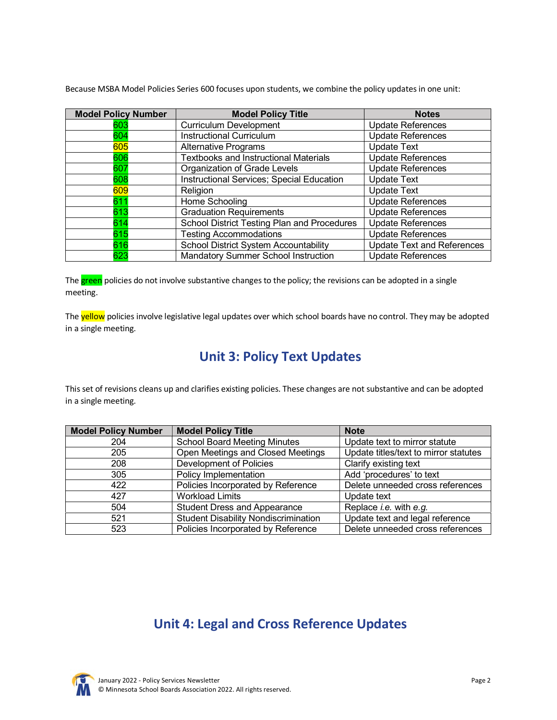Because MSBA Model Policies Series 600 focuses upon students, we combine the policy updates in one unit:

| <b>Model Policy Number</b> | <b>Model Policy Title</b>                    | <b>Notes</b>                      |
|----------------------------|----------------------------------------------|-----------------------------------|
| 603                        | <b>Curriculum Development</b>                | <b>Update References</b>          |
| 604                        | <b>Instructional Curriculum</b>              | <b>Update References</b>          |
| 605                        | <b>Alternative Programs</b>                  | <b>Update Text</b>                |
| 606                        | <b>Textbooks and Instructional Materials</b> | <b>Update References</b>          |
| 607                        | Organization of Grade Levels                 | <b>Update References</b>          |
| 608                        | Instructional Services; Special Education    | <b>Update Text</b>                |
| 609                        | Religion                                     | <b>Update Text</b>                |
| 611                        | Home Schooling                               | <b>Update References</b>          |
| 613                        | <b>Graduation Requirements</b>               | <b>Update References</b>          |
| 614                        | School District Testing Plan and Procedures  | <b>Update References</b>          |
| 615                        | <b>Testing Accommodations</b>                | <b>Update References</b>          |
| 616                        | <b>School District System Accountability</b> | <b>Update Text and References</b> |
| 623                        | Mandatory Summer School Instruction          | <b>Update References</b>          |

The **green** policies do not involve substantive changes to the policy; the revisions can be adopted in a single meeting.

The yellow policies involve legislative legal updates over which school boards have no control. They may be adopted in a single meeting.

### **Unit 3: Policy Text Updates**

This set of revisions cleans up and clarifies existing policies. These changes are not substantive and can be adopted in a single meeting.

| <b>Model Policy Number</b> | <b>Model Policy Title</b>                   | <b>Note</b>                           |
|----------------------------|---------------------------------------------|---------------------------------------|
| 204                        | <b>School Board Meeting Minutes</b>         | Update text to mirror statute         |
| 205                        | Open Meetings and Closed Meetings           | Update titles/text to mirror statutes |
| 208                        | Development of Policies                     | Clarify existing text                 |
| 305                        | Policy Implementation                       | Add 'procedures' to text              |
| 422                        | Policies Incorporated by Reference          | Delete unneeded cross references      |
| 427                        | <b>Workload Limits</b>                      | Update text                           |
| 504                        | <b>Student Dress and Appearance</b>         | Replace <i>i.e.</i> with $e.g.$       |
| 521                        | <b>Student Disability Nondiscrimination</b> | Update text and legal reference       |
| 523                        | Policies Incorporated by Reference          | Delete unneeded cross references      |

#### **Unit 4: Legal and Cross Reference Updates**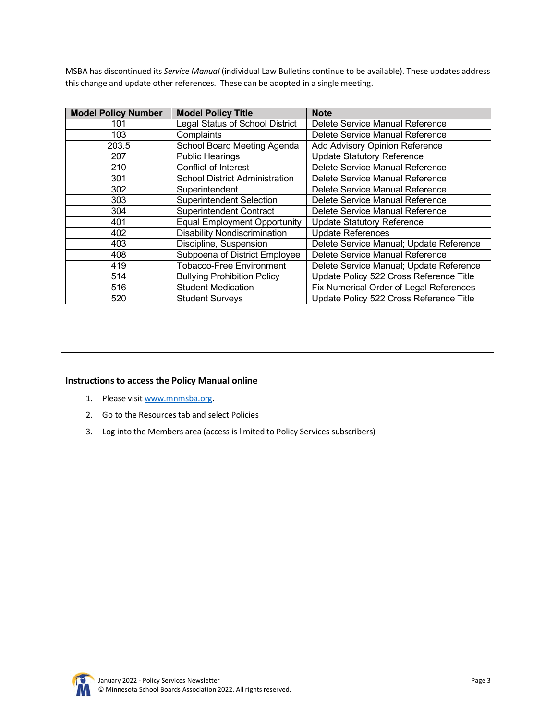MSBA has discontinued its *Service Manual* (individual Law Bulletins continue to be available). These updates address this change and update other references. These can be adopted in a single meeting.

| <b>Model Policy Number</b> | <b>Model Policy Title</b>             | <b>Note</b>                             |
|----------------------------|---------------------------------------|-----------------------------------------|
| 101                        | Legal Status of School District       | Delete Service Manual Reference         |
| 103                        | Complaints                            | Delete Service Manual Reference         |
| 203.5                      | School Board Meeting Agenda           | <b>Add Advisory Opinion Reference</b>   |
| 207                        | <b>Public Hearings</b>                | <b>Update Statutory Reference</b>       |
| 210                        | Conflict of Interest                  | Delete Service Manual Reference         |
| 301                        | <b>School District Administration</b> | Delete Service Manual Reference         |
| 302                        | Superintendent                        | Delete Service Manual Reference         |
| 303                        | <b>Superintendent Selection</b>       | Delete Service Manual Reference         |
| 304                        | <b>Superintendent Contract</b>        | Delete Service Manual Reference         |
| 401                        | <b>Equal Employment Opportunity</b>   | <b>Update Statutory Reference</b>       |
| 402                        | <b>Disability Nondiscrimination</b>   | <b>Update References</b>                |
| 403                        | Discipline, Suspension                | Delete Service Manual; Update Reference |
| 408                        | Subpoena of District Employee         | Delete Service Manual Reference         |
| 419                        | <b>Tobacco-Free Environment</b>       | Delete Service Manual; Update Reference |
| 514                        | <b>Bullying Prohibition Policy</b>    | Update Policy 522 Cross Reference Title |
| 516                        | <b>Student Medication</b>             | Fix Numerical Order of Legal References |
| 520                        | <b>Student Surveys</b>                | Update Policy 522 Cross Reference Title |

#### **Instructions to access the Policy Manual online**

- 1. Please visit www.mnmsba.org.
- 2. Go to the Resources tab and select Policies
- 3. Log into the Members area (access is limited to Policy Services subscribers)